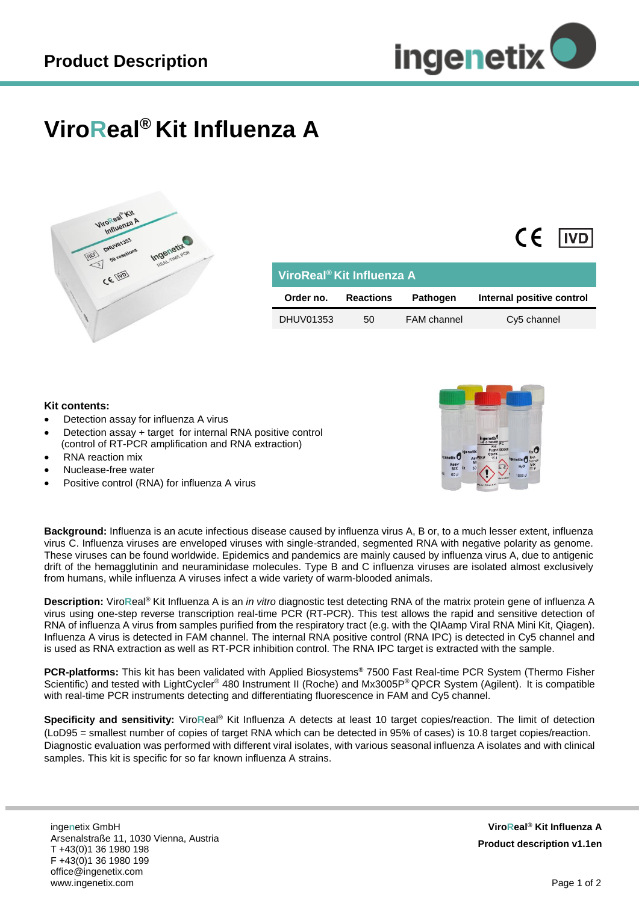$\epsilon$ 

**IVD** 

## **ViroReal® Kit Influenza A**



| ViroReal <sup>®</sup> Kit Influenza A |                  |                    |                           |
|---------------------------------------|------------------|--------------------|---------------------------|
| Order no.                             | <b>Reactions</b> | <b>Pathogen</b>    | Internal positive control |
| DHUV01353                             | 50               | <b>FAM</b> channel | Cy5 channel               |

## **Kit contents:**

- Detection assay for influenza A virus
- Detection assay + target for internal RNA positive control (control of RT-PCR amplification and RNA extraction)
- RNA reaction mix
- Nuclease-free water
- Positive control (RNA) for influenza A virus



**Background:** Influenza is an acute infectious disease caused by influenza virus A, B or, to a much lesser extent, influenza virus C. Influenza viruses are enveloped viruses with single-stranded, segmented RNA with negative polarity as genome. These viruses can be found worldwide. Epidemics and pandemics are mainly caused by influenza virus A, due to antigenic drift of the hemagglutinin and neuraminidase molecules. Type B and C influenza viruses are isolated almost exclusively from humans, while influenza A viruses infect a wide variety of warm-blooded animals.

**Description:** Viro**R**eal® Kit Influenza A is an *in vitro* diagnostic test detecting RNA of the matrix protein gene of influenza A virus using one-step reverse transcription real-time PCR (RT-PCR). This test allows the rapid and sensitive detection of RNA of influenza A virus from samples purified from the respiratory tract (e.g. with the QIAamp Viral RNA Mini Kit, Qiagen). Influenza A virus is detected in FAM channel. The internal RNA positive control (RNA IPC) is detected in Cy5 channel and is used as RNA extraction as well as RT-PCR inhibition control. The RNA IPC target is extracted with the sample.

**PCR-platforms:** This kit has been validated with Applied Biosystems® 7500 Fast Real-time PCR System (Thermo Fisher Scientific) and tested with LightCycler® 480 Instrument II (Roche) and Mx3005P® QPCR System (Agilent). It is compatible with real-time PCR instruments detecting and differentiating fluorescence in FAM and Cy5 channel.

**Specificity and sensitivity:** Viro**R**eal® Kit Influenza A detects at least 10 target copies/reaction. The limit of detection (LoD95 = smallest number of copies of target RNA which can be detected in 95% of cases) is 10.8 target copies/reaction. Diagnostic evaluation was performed with different viral isolates, with various seasonal influenza A isolates and with clinical samples. This kit is specific for so far known influenza A strains.

inge**n**etix GmbH Arsenalstraße 11, 1030 Vienna, Austria T +43(0)1 36 1980 198 F +43(0)1 36 1980 199 office@ingenetix.com www.ingenetix.com

**ViroReal® Kit Influenza A Product description v1.1en**